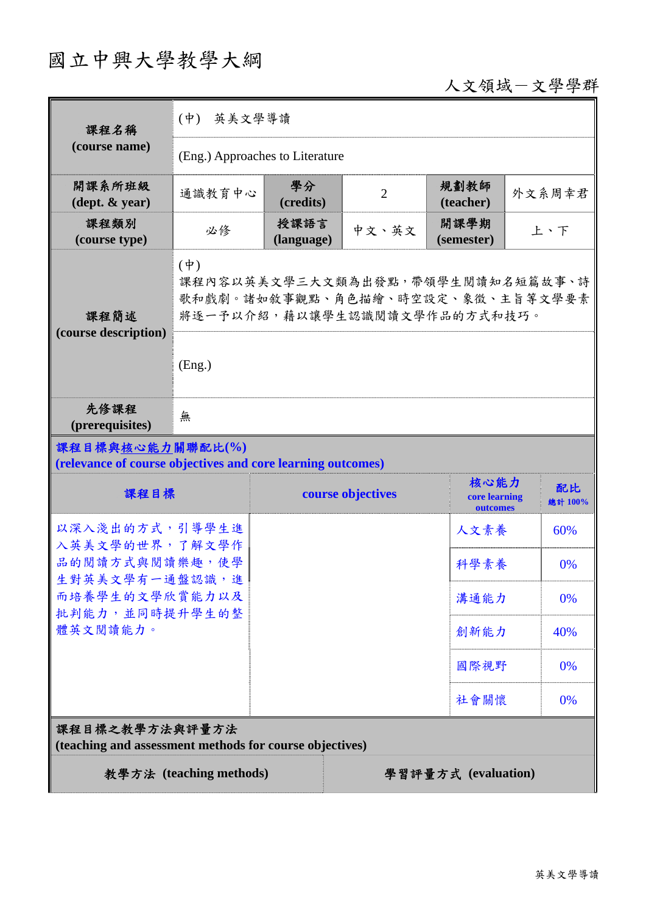# 國立中興大學教學大綱

## 人文領域-文學學群

| 課程名稱                                                                            | 英美文學導讀<br>$(\dot{\Psi})$                                                                                                   |                    |                   |                                   |               |  |
|---------------------------------------------------------------------------------|----------------------------------------------------------------------------------------------------------------------------|--------------------|-------------------|-----------------------------------|---------------|--|
| (course name)                                                                   | (Eng.) Approaches to Literature                                                                                            |                    |                   |                                   |               |  |
| 開課系所班級<br>$(\text{dept.} \& \text{ year})$                                      | 通識教育中心                                                                                                                     | 學分<br>(credits)    | $\overline{2}$    | 規劃教師<br>(teacher)                 | 外文系周幸君        |  |
| 課程類別<br>(course type)                                                           | 必修                                                                                                                         | 授課語言<br>(language) | 中文、英文             | 開課學期<br>(semester)                | 上、下           |  |
| 課程簡述<br>(course description)                                                    | $(\phi)$<br>課程內容以英美文學三大文類為出發點,帶領學生閱讀知名短篇故事、詩<br>歌和戲劇。諸如敘事觀點、角色描繪、時空設定、象徵、主旨等文學要素<br>將逐一予以介紹,藉以讓學生認識閱讀文學作品的方式和技巧。<br>(Eng.) |                    |                   |                                   |               |  |
| 先修課程<br>(prerequisites)                                                         | 無                                                                                                                          |                    |                   |                                   |               |  |
| 課程目標與核心能力關聯配比(%)<br>(relevance of course objectives and core learning outcomes) |                                                                                                                            |                    |                   |                                   |               |  |
| 課程目標                                                                            |                                                                                                                            |                    | course objectives | 核心能力<br>core learning<br>outcomes | 配比<br>總計 100% |  |
| 以深入淺出的方式,引導學生進<br>入英美文學的世界,了解文學作                                                |                                                                                                                            |                    |                   | 人文素養                              | 60%           |  |
| 品的閱讀方式與閱讀樂趣,使學                                                                  |                                                                                                                            |                    |                   | 科學素養                              | 0%            |  |
| 生對英美文學有一通盤認識,進<br>而培養學生的文學欣賞能力以及<br>批判能力,並同時提升學生的整<br>體英文閱讀能力。                  |                                                                                                                            |                    |                   | 溝通能力                              | 0%            |  |
|                                                                                 |                                                                                                                            |                    |                   | 創新能力                              | 40%           |  |
|                                                                                 |                                                                                                                            |                    |                   | 國際視野                              | 0%            |  |
|                                                                                 |                                                                                                                            |                    |                   | 社會關懷                              | 0%            |  |
| 課程目標之教學方法與評量方法<br>(teaching and assessment methods for course objectives)       |                                                                                                                            |                    |                   |                                   |               |  |
| 教學方法 (teaching methods)<br>學習評量方式 (evaluation)                                  |                                                                                                                            |                    |                   |                                   |               |  |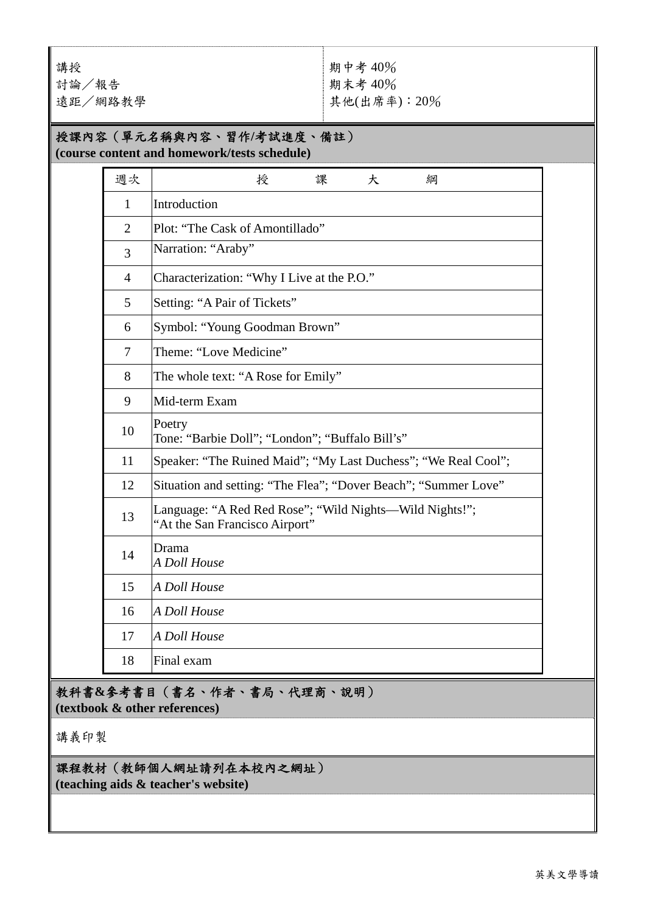講授 討論/報告 遠距/網路教學 期中考 40% 期末考 40% 其他(出席率):20%

#### 授課內容(單元名稱與內容、習作**/**考試進度、備註) **(course content and homework/tests schedule)**

| 週次             | 授<br>課<br>大<br>綱                                                                           |
|----------------|--------------------------------------------------------------------------------------------|
| $\mathbf{1}$   | Introduction                                                                               |
| $\overline{2}$ | Plot: "The Cask of Amontillado"                                                            |
| 3              | Narration: "Araby"                                                                         |
| $\overline{4}$ | Characterization: "Why I Live at the P.O."                                                 |
| 5              | Setting: "A Pair of Tickets"                                                               |
| 6              | Symbol: "Young Goodman Brown"                                                              |
| 7              | Theme: "Love Medicine"                                                                     |
| 8              | The whole text: "A Rose for Emily"                                                         |
| 9              | Mid-term Exam                                                                              |
| 10             | Poetry<br>Tone: "Barbie Doll"; "London"; "Buffalo Bill's"                                  |
| 11             | Speaker: "The Ruined Maid"; "My Last Duchess"; "We Real Cool";                             |
| 12             | Situation and setting: "The Flea"; "Dover Beach"; "Summer Love"                            |
| 13             | Language: "A Red Red Rose"; "Wild Nights--Wild Nights!";<br>"At the San Francisco Airport" |
| 14             | Drama<br>A Doll House                                                                      |
| 15             | A Doll House                                                                               |
| 16             | A Doll House                                                                               |
| 17             | A Doll House                                                                               |
| 18             | Final exam                                                                                 |

教科書**&**參考書目(書名、作者、書局、代理商、說明) **(textbook & other references)**

講義印製

#### 課程教材(教師個人網址請列在本校內之網址)

**(teaching aids & teacher's website)**